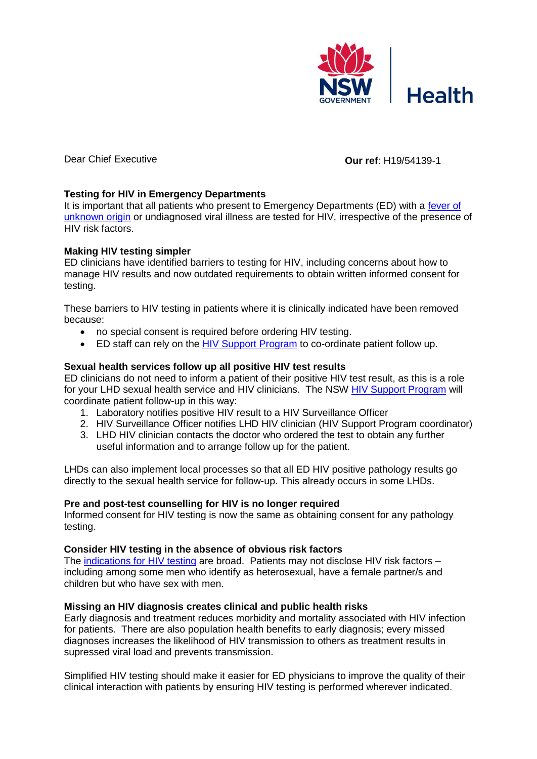

# Dear Chief Executive **Our ref**: H19/54139-1

# **Testing for HIV in Emergency Departments**

It is important that all patients who present to Emergency Departments (ED) with a fever of [unknown origin](https://www.aci.health.nsw.gov.au/networks/eci/clinical/clinical-resources/clinical-tools/infectious-diseases/fever-of-unknown-origin) or undiagnosed viral illness are tested for HIV, irrespective of the presence of HIV risk factors.

### **Making HIV testing simpler**

ED clinicians have identified barriers to testing for HIV, including concerns about how to manage HIV results and now outdated requirements to obtain written informed consent for testing.

These barriers to HIV testing in patients where it is clinically indicated have been removed because:

- no special consent is required before ordering HIV testing.
- ED staff can rely on the [HIV Support Program](https://www.health.nsw.gov.au/endinghiv/Pages/support-program.aspx) to co-ordinate patient follow up.

### **Sexual health services follow up all positive HIV test results**

ED clinicians do not need to inform a patient of their positive HIV test result, as this is a role for your LHD sexual health service and HIV clinicians. The NSW [HIV Support Program](https://www.health.nsw.gov.au/endinghiv/Pages/support-program.aspx) will coordinate patient follow-up in this way:

- 1. Laboratory notifies positive HIV result to a HIV Surveillance Officer
- 2. HIV Surveillance Officer notifies LHD HIV clinician (HIV Support Program coordinator)
- 3. LHD HIV clinician contacts the doctor who ordered the test to obtain any further useful information and to arrange follow up for the patient.

LHDs can also implement local processes so that all ED HIV positive pathology results go directly to the sexual health service for follow-up. This already occurs in some LHDs.

#### **Pre and post-test counselling for HIV is no longer required**

Informed consent for HIV testing is now the same as obtaining consent for any pathology testing.

#### **Consider HIV testing in the absence of obvious risk factors**

The [indications for HIV testing](http://www.testingportal.ashm.org.au/hiv/indications-for-hiv-testing) are broad. Patients may not disclose HIV risk factors – including among some men who identify as heterosexual, have a female partner/s and children but who have sex with men.

#### **Missing an HIV diagnosis creates clinical and public health risks**

Early diagnosis and treatment reduces morbidity and mortality associated with HIV infection for patients. There are also population health benefits to early diagnosis; every missed diagnoses increases the likelihood of HIV transmission to others as treatment results in supressed viral load and prevents transmission.

Simplified HIV testing should make it easier for ED physicians to improve the quality of their clinical interaction with patients by ensuring HIV testing is performed wherever indicated.